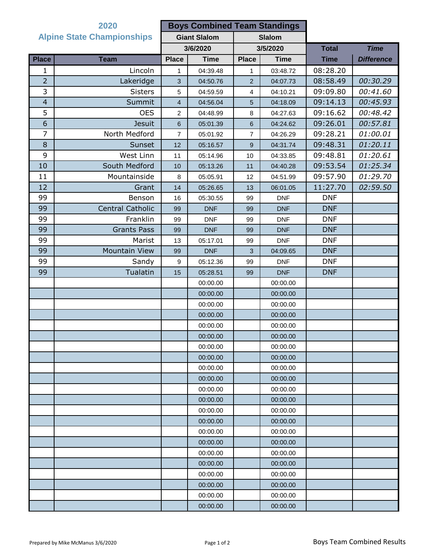|                                   | 2020                 |                     | <b>Boys Combined Team Standings</b> |                |             |              |                   |
|-----------------------------------|----------------------|---------------------|-------------------------------------|----------------|-------------|--------------|-------------------|
| <b>Alpine State Championships</b> |                      | <b>Giant Slalom</b> |                                     | <b>Slalom</b>  |             |              |                   |
|                                   |                      | 3/6/2020            |                                     | 3/5/2020       |             | <b>Total</b> | <b>Time</b>       |
| <b>Place</b>                      | <b>Team</b>          | <b>Place</b>        | <b>Time</b>                         | <b>Place</b>   | <b>Time</b> | <b>Time</b>  | <b>Difference</b> |
| 1                                 | Lincoln              | 1                   | 04:39.48                            | 1              | 03:48.72    | 08:28.20     |                   |
| $\overline{2}$                    | Lakeridge            | 3                   | 04:50.76                            | $\overline{2}$ | 04:07.73    | 08:58.49     | 00:30.29          |
| 3                                 | <b>Sisters</b>       | 5                   | 04:59.59                            | 4              | 04:10.21    | 09:09.80     | 00:41.60          |
| $\overline{4}$                    | Summit               | 4                   | 04:56.04                            | 5              | 04:18.09    | 09:14.13     | 00:45.93          |
| 5                                 | <b>OES</b>           | 2                   | 04:48.99                            | 8              | 04:27.63    | 09:16.62     | 00:48.42          |
| 6                                 | <b>Jesuit</b>        | 6                   | 05:01.39                            | 6              | 04:24.62    | 09:26.01     | 00:57.81          |
| $\overline{7}$                    | North Medford        | $\overline{7}$      | 05:01.92                            | $\overline{7}$ | 04:26.29    | 09:28.21     | 01:00.01          |
| $\,8\,$                           | Sunset               | 12                  | 05:16.57                            | 9              | 04:31.74    | 09:48.31     | 01:20.11          |
| 9                                 | West Linn            | 11                  | 05:14.96                            | 10             | 04:33.85    | 09:48.81     | 01:20.61          |
| 10                                | South Medford        | 10                  | 05:13.26                            | 11             | 04:40.28    | 09:53.54     | 01:25.34          |
| 11                                | Mountainside         | 8                   | 05:05.91                            | 12             | 04:51.99    | 09:57.90     | 01:29.70          |
| 12                                | Grant                | 14                  | 05:26.65                            | 13             | 06:01.05    | 11:27.70     | 02:59.50          |
| 99                                | Benson               | 16                  | 05:30.55                            | 99             | <b>DNF</b>  | <b>DNF</b>   |                   |
| 99                                | Central Catholic     | 99                  | <b>DNF</b>                          | 99             | <b>DNF</b>  | <b>DNF</b>   |                   |
| 99                                | Franklin             | 99                  | <b>DNF</b>                          | 99             | <b>DNF</b>  | <b>DNF</b>   |                   |
| 99                                | <b>Grants Pass</b>   | 99                  | <b>DNF</b>                          | 99             | <b>DNF</b>  | <b>DNF</b>   |                   |
| 99                                | Marist               | 13                  | 05:17.01                            | 99             | <b>DNF</b>  | <b>DNF</b>   |                   |
| 99                                | <b>Mountain View</b> | 99                  | <b>DNF</b>                          | 3              | 04:09.65    | <b>DNF</b>   |                   |
| 99                                | Sandy                | $\boldsymbol{9}$    | 05:12.36                            | 99             | <b>DNF</b>  | <b>DNF</b>   |                   |
| 99                                | Tualatin             | 15                  | 05:28.51                            | 99             | <b>DNF</b>  | <b>DNF</b>   |                   |
|                                   |                      |                     | 00:00.00                            |                | 00:00.00    |              |                   |
|                                   |                      |                     | 00:00.00                            |                | 00:00.00    |              |                   |
|                                   |                      |                     | 00:00.00                            |                | 00:00.00    |              |                   |
|                                   |                      |                     | 00:00.00                            |                | 00:00.00    |              |                   |
|                                   |                      |                     | 00:00.00                            |                | 00:00.00    |              |                   |
|                                   |                      |                     | 00:00.00                            |                | 00:00.00    |              |                   |
|                                   |                      |                     | 00:00.00                            |                | 00:00.00    |              |                   |
|                                   |                      |                     | 00:00.00                            |                | 00:00.00    |              |                   |
|                                   |                      |                     | 00:00.00                            |                | 00:00.00    |              |                   |
|                                   |                      |                     | 00:00.00                            |                | 00:00.00    |              |                   |
|                                   |                      |                     | 00:00.00                            |                | 00:00.00    |              |                   |
|                                   |                      |                     | 00:00.00                            |                | 00:00.00    |              |                   |
|                                   |                      |                     | 00:00.00                            |                | 00:00.00    |              |                   |
|                                   |                      |                     | 00:00.00                            |                | 00:00.00    |              |                   |
|                                   |                      |                     | 00:00.00                            |                | 00:00.00    |              |                   |
|                                   |                      |                     | 00:00.00                            |                | 00:00.00    |              |                   |
|                                   |                      |                     | 00:00.00                            |                | 00:00.00    |              |                   |
|                                   |                      |                     | 00:00.00                            |                | 00:00.00    |              |                   |
|                                   |                      |                     | 00:00.00                            |                | 00:00.00    |              |                   |
|                                   |                      |                     | 00:00.00                            |                | 00:00.00    |              |                   |
|                                   |                      |                     | 00:00.00                            |                | 00:00.00    |              |                   |
|                                   |                      |                     | 00:00.00                            |                | 00:00.00    |              |                   |